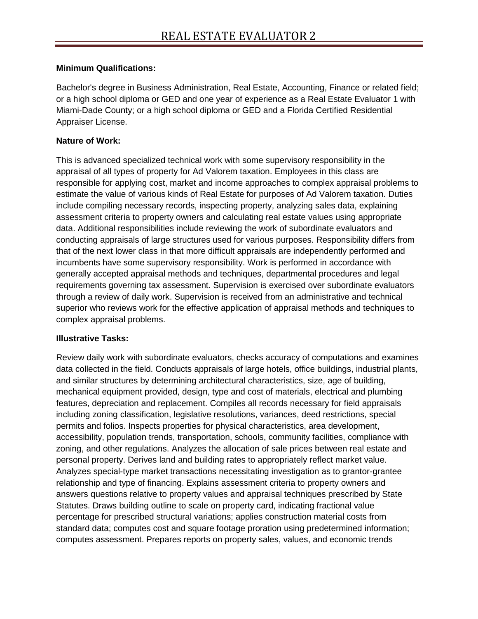## **Minimum Qualifications:**

Bachelor's degree in Business Administration, Real Estate, Accounting, Finance or related field; or a high school diploma or GED and one year of experience as a Real Estate Evaluator 1 with Miami-Dade County; or a high school diploma or GED and a Florida Certified Residential Appraiser License.

## **Nature of Work:**

This is advanced specialized technical work with some supervisory responsibility in the appraisal of all types of property for Ad Valorem taxation. Employees in this class are responsible for applying cost, market and income approaches to complex appraisal problems to estimate the value of various kinds of Real Estate for purposes of Ad Valorem taxation. Duties include compiling necessary records, inspecting property, analyzing sales data, explaining assessment criteria to property owners and calculating real estate values using appropriate data. Additional responsibilities include reviewing the work of subordinate evaluators and conducting appraisals of large structures used for various purposes. Responsibility differs from that of the next lower class in that more difficult appraisals are independently performed and incumbents have some supervisory responsibility. Work is performed in accordance with generally accepted appraisal methods and techniques, departmental procedures and legal requirements governing tax assessment. Supervision is exercised over subordinate evaluators through a review of daily work. Supervision is received from an administrative and technical superior who reviews work for the effective application of appraisal methods and techniques to complex appraisal problems.

## **Illustrative Tasks:**

Review daily work with subordinate evaluators, checks accuracy of computations and examines data collected in the field. Conducts appraisals of large hotels, office buildings, industrial plants, and similar structures by determining architectural characteristics, size, age of building, mechanical equipment provided, design, type and cost of materials, electrical and plumbing features, depreciation and replacement. Compiles all records necessary for field appraisals including zoning classification, legislative resolutions, variances, deed restrictions, special permits and folios. Inspects properties for physical characteristics, area development, accessibility, population trends, transportation, schools, community facilities, compliance with zoning, and other regulations. Analyzes the allocation of sale prices between real estate and personal property. Derives land and building rates to appropriately reflect market value. Analyzes special-type market transactions necessitating investigation as to grantor-grantee relationship and type of financing. Explains assessment criteria to property owners and answers questions relative to property values and appraisal techniques prescribed by State Statutes. Draws building outline to scale on property card, indicating fractional value percentage for prescribed structural variations; applies construction material costs from standard data; computes cost and square footage proration using predetermined information; computes assessment. Prepares reports on property sales, values, and economic trends